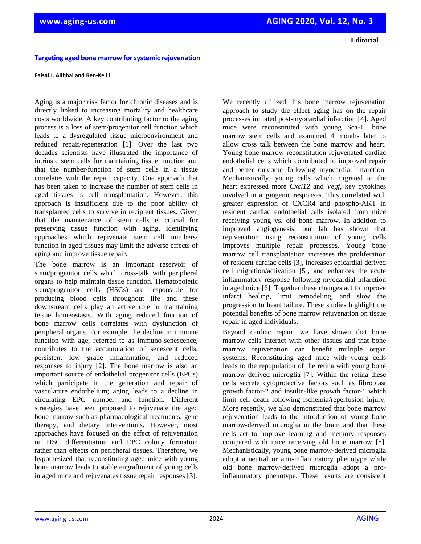**Editorial**

## **Targeting aged bone marrow for systemic rejuvenation**

## **Faisal J. Alibhai and Ren-Ke Li**

Aging is a major risk factor for chronic diseases and is directly linked to increasing mortality and healthcare costs worldwide. A key contributing factor to the aging process is a loss of stem/progenitor cell function which leads to a dysregulated tissue microenvironment and reduced repair/regeneration [1]. Over the last two decades scientists have illustrated the importance of intrinsic stem cells for maintaining tissue function and that the number/function of stem cells in a tissue correlates with the repair capacity. One approach that has been taken to increase the number of stem cells in aged tissues is cell transplantation. However, this approach is insufficient due to the poor ability of transplanted cells to survive in recipient tissues. Given that the maintenance of stem cells is crucial for preserving tissue function with aging, identifying approaches which rejuvenate stem cell numbers/ function in aged tissues may limit the adverse effects of aging and improve tissue repair.

The bone marrow is an important reservoir of stem/progenitor cells which cross-talk with peripheral organs to help maintain tissue function. Hematopoietic stem/progenitor cells (HSCs) are responsible for producing blood cells throughout life and these downstream cells play an active role in maintaining tissue homeostasis. With aging reduced function of bone marrow cells correlates with dysfunction of peripheral organs. For example, the decline in immune function with age, referred to as immuno-senescence, contributes to the accumulation of senescent cells, persistent low grade inflammation, and reduced responses to injury [2]. The bone marrow is also an important source of endothelial progenitor cells (EPCs) which participate in the generation and repair of vasculature endothelium; aging leads to a decline in circulating EPC number and function*.* Different strategies have been proposed to rejuvenate the aged bone marrow such as pharmacological treatments, gene therapy, and dietary interventions. However, most approaches have focused on the effect of rejuvenation on HSC differentiation and EPC colony formation rather than effects on peripheral tissues. Therefore, we hypothesized that reconstituting aged mice with young bone marrow leads to stable engraftment of young cells in aged mice and rejuvenates tissue repair responses [3].

We recently utilized this bone marrow rejuvenation approach to study the effect aging has on the repair processes initiated post-myocardial infarction [4]. Aged mice were reconstituted with young  $Sca-1^+$  bone marrow stem cells and examined 4 months later to allow cross talk between the bone marrow and heart. Young bone marrow reconstitution rejuvenated cardiac endothelial cells which contributed to improved repair and better outcome following myocardial infarction. Mechanistically, young cells which migrated to the heart expressed more *Cxcl12* and *Vegf*, key cytokines involved in angiogenic responses. This correlated with greater expression of CXCR4 and phospho-AKT in resident cardiac endothelial cells isolated from mice receiving young vs. old bone marrow. In addition to improved angiogenesis, our lab has shown that rejuvenation using reconstitution of young cells improves multiple repair processes. Young bone marrow cell transplantation increases the proliferation of resident cardiac cells [3], increases epicardial derived cell migration/activation [5], and enhances the acute inflammatory response following myocardial infarction in aged mice [6]. Together these changes act to improve infarct healing, limit remodeling, and slow the progression to heart failure. These studies highlight the potential benefits of bone marrow rejuvenation on tissue repair in aged individuals.

Beyond cardiac repair, we have shown that bone marrow cells interact with other tissues and that bone marrow rejuvenation can benefit multiple organ systems. Reconstituting aged mice with young cells leads to the repopulation of the retina with young bone marrow derived microglia [7]. Within the retina these cells secrete cytoprotective factors such as fibroblast growth factor-2 and insulin-like growth factor-1 which limit cell death following ischemia/reperfusion injury. More recently, we also demonstrated that bone marrow rejuvenation leads to the introduction of young bone marrow-derived microglia in the brain and that these cells act to improve learning and memory responses compared with mice receiving old bone marrow [8]. Mechanistically, young bone marrow-derived microglia adopt a neutral or anti-inflammatory phenotype while old bone marrow-derived microglia adopt a proinflammatory phenotype. These results are consistent